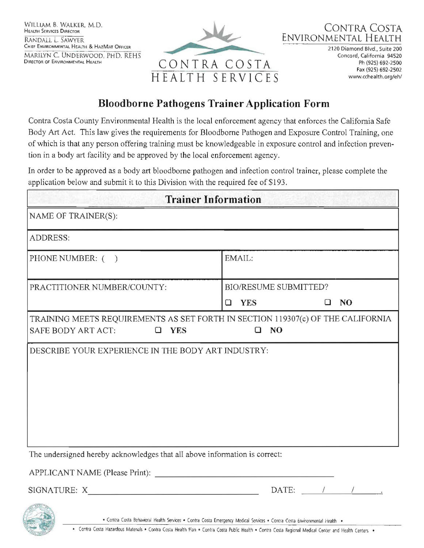



2120 Diamond Blvd., Suite 200 Concord, California 94520 Ph (925) 692-2500 Fax (925) 692-2502 www.cchealth.org/eh/

## **Bloodborne Pathogens Trainer Application Form**

Contra Costa County Environmental Health is the local enforcement agency that enforces the California Safe Body Art Act. This law gives the requirements for Bloodbome Pathogen and Exposure Control Training, one of which is that any person offering training must be knowledgeable in exposure control and infection prevention in a body art facility and be approved by the local enforcement agency.

In order to be approved as a body art bloodborne pathogen and infection control trainer, please complete the application below and submit it to this Division with the required fee of \$193 .

| <b>Trainer Information</b>                                                                                                     |                                                          |
|--------------------------------------------------------------------------------------------------------------------------------|----------------------------------------------------------|
| NAME OF TRAINER(S):                                                                                                            |                                                          |
| ADDRESS:                                                                                                                       |                                                          |
| PHONE NUMBER: ()                                                                                                               | EMAIL:                                                   |
| PRACTITIONER NUMBER/COUNTY:                                                                                                    | BIO/RESUME SUBMITTED?<br><b>YES</b><br>NO<br>$\Box$<br>□ |
| TRAINING MEETS REQUIREMENTS AS SET FORTH IN SECTION 119307(c) OF THE CALIFORNIA<br>NO<br>SAFE BODY ART ACT:<br>$\Box$ YES<br>а |                                                          |
| DESCRIBE YOUR EXPERIENCE IN THE BODY ART INDUSTRY:                                                                             |                                                          |
| The undersigned hereby acknowledges that all above information is correct:                                                     |                                                          |
|                                                                                                                                |                                                          |
|                                                                                                                                | DATE: $\qquad \qquad / \qquad \qquad /$                  |
| · Contra Costa Behavioral Health Services · Contra Costa Emergency Medical Services · Contra Costa Environmental Health ·      |                                                          |